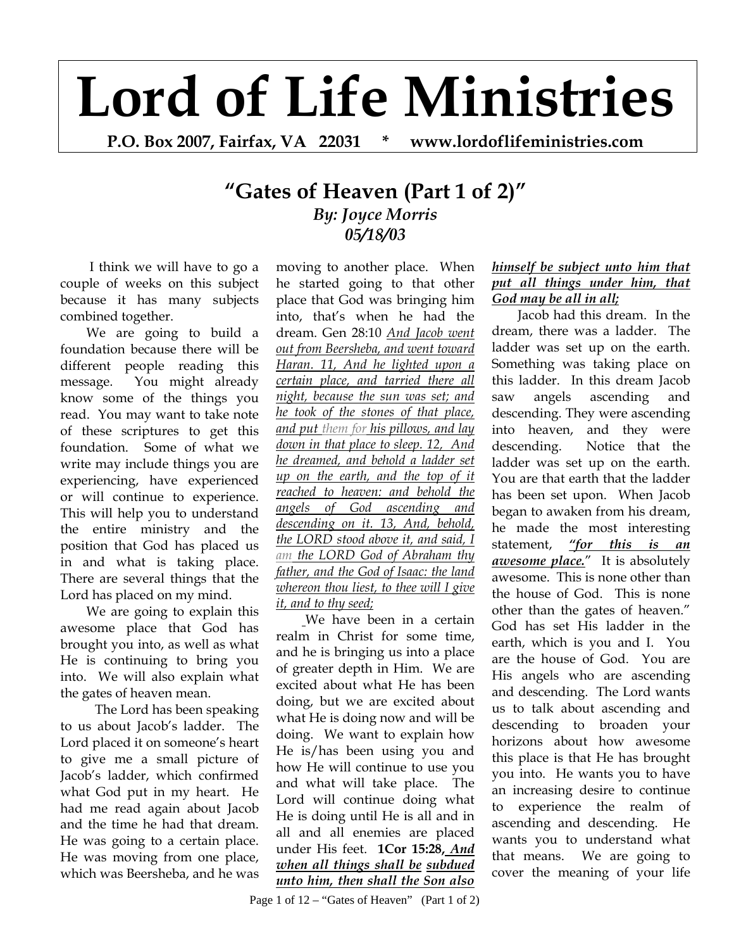## **Lord of Life Ministries**

**P.O. Box 2007, Fairfax, VA 22031 \* www.lordoflifeministries.com** 

## **"Gates of Heaven (Part 1 of 2)"** *By: Joyce Morris 05/18/03*

 I think we will have to go a couple of weeks on this subject because it has many subjects combined together.

We are going to build a foundation because there will be different people reading this message. You might already know some of the things you read. You may want to take note of these scriptures to get this foundation. Some of what we write may include things you are experiencing, have experienced or will continue to experience. This will help you to understand the entire ministry and the position that God has placed us in and what is taking place. There are several things that the Lord has placed on my mind.

We are going to explain this awesome place that God has brought you into, as well as what He is continuing to bring you into. We will also explain what the gates of heaven mean.

The Lord has been speaking to us about Jacob's ladder. The Lord placed it on someone's heart to give me a small picture of Jacob's ladder, which confirmed what God put in my heart. He had me read again about Jacob and the time he had that dream. He was going to a certain place. He was moving from one place, which was Beersheba, and he was

moving to another place. When he started going to that other place that God was bringing him into, that's when he had the dream. Gen 28:10 *And Jacob went out from Beersheba, and went toward Haran. 11, And he lighted upon a certain place, and tarried there all night, because the sun was set; and he took of the stones of that place, and put them for his pillows, and lay down in that place to sleep. 12, And he dreamed, and behold a ladder set up on the earth, and the top of it reached to heaven: and behold the angels of God ascending and descending on it. 13, And, behold, the LORD stood above it, and said, I am the LORD God of Abraham thy father, and the God of Isaac: the land whereon thou liest, to thee will I give it, and to thy seed;*

We have been in a certain realm in Christ for some time, and he is bringing us into a place of greater depth in Him. We are excited about what He has been doing, but we are excited about what He is doing now and will be doing. We want to explain how He is/has been using you and how He will continue to use you and what will take place. The Lord will continue doing what He is doing until He is all and in all and all enemies are placed under His feet. **1Cor 15:28,** *And when all things shall be subdued unto him, then shall the Son also* 

## *himself be subject unto him that put all things under him, that God may be all in all;*

Jacob had this dream. In the dream, there was a ladder. The ladder was set up on the earth. Something was taking place on this ladder. In this dream Jacob saw angels ascending and descending. They were ascending into heaven, and they were descending. Notice that the ladder was set up on the earth. You are that earth that the ladder has been set upon. When Jacob began to awaken from his dream, he made the most interesting statement, *"for this is an awesome place.*" It is absolutely awesome. This is none other than the house of God. This is none other than the gates of heaven." God has set His ladder in the earth, which is you and I. You are the house of God. You are His angels who are ascending and descending. The Lord wants us to talk about ascending and descending to broaden your horizons about how awesome this place is that He has brought you into. He wants you to have an increasing desire to continue to experience the realm of ascending and descending. He wants you to understand what that means. We are going to cover the meaning of your life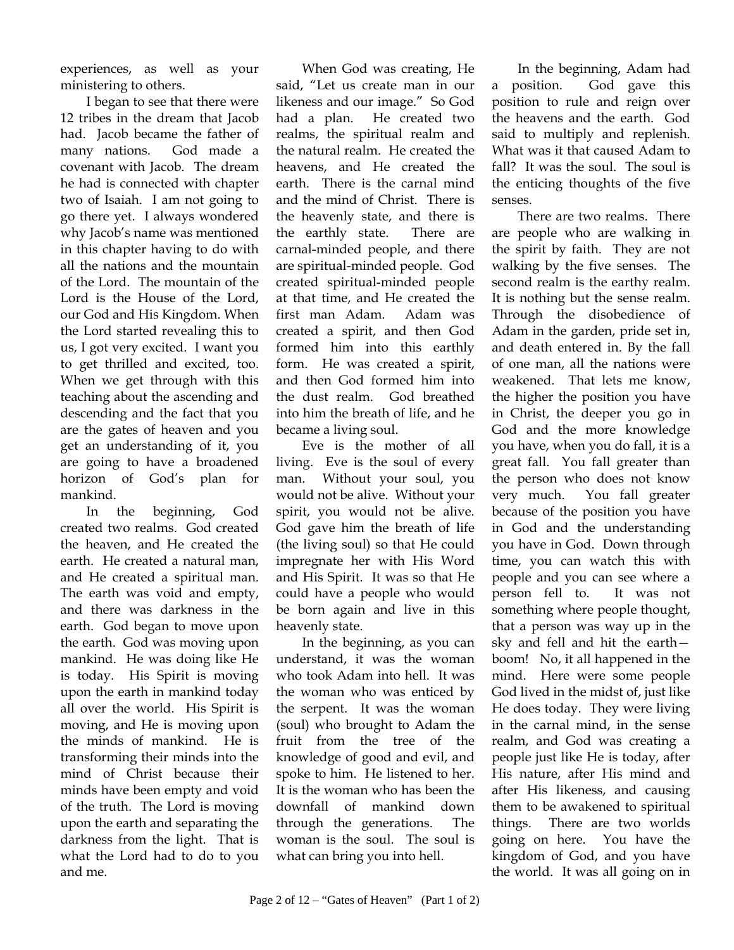experiences, as well as your ministering to others.

I began to see that there were 12 tribes in the dream that Jacob had. Jacob became the father of many nations. God made a covenant with Jacob. The dream he had is connected with chapter two of Isaiah. I am not going to go there yet. I always wondered why Jacob's name was mentioned in this chapter having to do with all the nations and the mountain of the Lord. The mountain of the Lord is the House of the Lord, our God and His Kingdom. When the Lord started revealing this to us, I got very excited. I want you to get thrilled and excited, too. When we get through with this teaching about the ascending and descending and the fact that you are the gates of heaven and you get an understanding of it, you are going to have a broadened horizon of God's plan for mankind.

In the beginning, God created two realms. God created the heaven, and He created the earth. He created a natural man, and He created a spiritual man. The earth was void and empty, and there was darkness in the earth. God began to move upon the earth. God was moving upon mankind. He was doing like He is today. His Spirit is moving upon the earth in mankind today all over the world. His Spirit is moving, and He is moving upon the minds of mankind. He is transforming their minds into the mind of Christ because their minds have been empty and void of the truth. The Lord is moving upon the earth and separating the darkness from the light. That is what the Lord had to do to you and me.

When God was creating, He said, "Let us create man in our likeness and our image." So God had a plan. He created two realms, the spiritual realm and the natural realm. He created the heavens, and He created the earth. There is the carnal mind and the mind of Christ. There is the heavenly state, and there is the earthly state. There are carnal-minded people, and there are spiritual-minded people. God created spiritual-minded people at that time, and He created the first man Adam. Adam was created a spirit, and then God formed him into this earthly form. He was created a spirit, and then God formed him into the dust realm. God breathed into him the breath of life, and he became a living soul.

Eve is the mother of all living. Eve is the soul of every man. Without your soul, you would not be alive. Without your spirit, you would not be alive. God gave him the breath of life (the living soul) so that He could impregnate her with His Word and His Spirit. It was so that He could have a people who would be born again and live in this heavenly state.

In the beginning, as you can understand, it was the woman who took Adam into hell. It was the woman who was enticed by the serpent. It was the woman (soul) who brought to Adam the fruit from the tree of the knowledge of good and evil, and spoke to him. He listened to her. It is the woman who has been the downfall of mankind down through the generations. The woman is the soul. The soul is what can bring you into hell.

In the beginning, Adam had a position. God gave this position to rule and reign over the heavens and the earth. God said to multiply and replenish. What was it that caused Adam to fall? It was the soul. The soul is the enticing thoughts of the five senses.

There are two realms. There are people who are walking in the spirit by faith. They are not walking by the five senses. The second realm is the earthy realm. It is nothing but the sense realm. Through the disobedience of Adam in the garden, pride set in, and death entered in. By the fall of one man, all the nations were weakened. That lets me know, the higher the position you have in Christ, the deeper you go in God and the more knowledge you have, when you do fall, it is a great fall. You fall greater than the person who does not know very much. You fall greater because of the position you have in God and the understanding you have in God. Down through time, you can watch this with people and you can see where a person fell to. It was not something where people thought, that a person was way up in the sky and fell and hit the earth boom! No, it all happened in the mind. Here were some people God lived in the midst of, just like He does today. They were living in the carnal mind, in the sense realm, and God was creating a people just like He is today, after His nature, after His mind and after His likeness, and causing them to be awakened to spiritual things. There are two worlds going on here. You have the kingdom of God, and you have the world. It was all going on in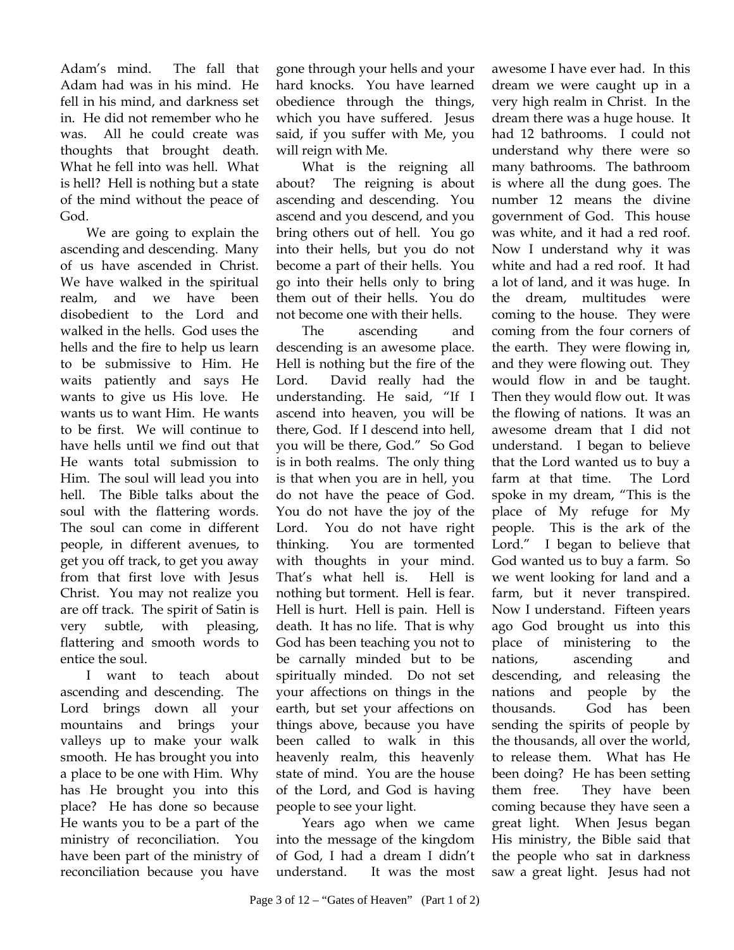Adam's mind. The fall that Adam had was in his mind. He fell in his mind, and darkness set in. He did not remember who he was. All he could create was thoughts that brought death. What he fell into was hell. What is hell? Hell is nothing but a state of the mind without the peace of God.

We are going to explain the ascending and descending. Many of us have ascended in Christ. We have walked in the spiritual realm, and we have been disobedient to the Lord and walked in the hells. God uses the hells and the fire to help us learn to be submissive to Him. He waits patiently and says He wants to give us His love. He wants us to want Him. He wants to be first. We will continue to have hells until we find out that He wants total submission to Him. The soul will lead you into hell. The Bible talks about the soul with the flattering words. The soul can come in different people, in different avenues, to get you off track, to get you away from that first love with Jesus Christ. You may not realize you are off track. The spirit of Satin is very subtle, with pleasing, flattering and smooth words to entice the soul.

I want to teach about ascending and descending. The Lord brings down all your mountains and brings your valleys up to make your walk smooth. He has brought you into a place to be one with Him. Why has He brought you into this place? He has done so because He wants you to be a part of the ministry of reconciliation. You have been part of the ministry of reconciliation because you have

gone through your hells and your hard knocks. You have learned obedience through the things, which you have suffered. Jesus said, if you suffer with Me, you will reign with Me.

What is the reigning all about? The reigning is about ascending and descending. You ascend and you descend, and you bring others out of hell. You go into their hells, but you do not become a part of their hells. You go into their hells only to bring them out of their hells. You do not become one with their hells.

The ascending and descending is an awesome place. Hell is nothing but the fire of the Lord. David really had the understanding. He said, "If I ascend into heaven, you will be there, God. If I descend into hell, you will be there, God." So God is in both realms. The only thing is that when you are in hell, you do not have the peace of God. You do not have the joy of the Lord. You do not have right thinking. You are tormented with thoughts in your mind. That's what hell is. Hell is nothing but torment. Hell is fear. Hell is hurt. Hell is pain. Hell is death. It has no life. That is why God has been teaching you not to be carnally minded but to be spiritually minded. Do not set your affections on things in the earth, but set your affections on things above, because you have been called to walk in this heavenly realm, this heavenly state of mind. You are the house of the Lord, and God is having people to see your light.

Years ago when we came into the message of the kingdom of God, I had a dream I didn't understand. It was the most awesome I have ever had. In this dream we were caught up in a very high realm in Christ. In the dream there was a huge house. It had 12 bathrooms. I could not understand why there were so many bathrooms. The bathroom is where all the dung goes. The number 12 means the divine government of God. This house was white, and it had a red roof. Now I understand why it was white and had a red roof. It had a lot of land, and it was huge. In the dream, multitudes were coming to the house. They were coming from the four corners of the earth. They were flowing in, and they were flowing out. They would flow in and be taught. Then they would flow out. It was the flowing of nations. It was an awesome dream that I did not understand. I began to believe that the Lord wanted us to buy a farm at that time. The Lord spoke in my dream, "This is the place of My refuge for My people. This is the ark of the Lord." I began to believe that God wanted us to buy a farm. So we went looking for land and a farm, but it never transpired. Now I understand. Fifteen years ago God brought us into this place of ministering to the nations, ascending and descending, and releasing the nations and people by the thousands. God has been sending the spirits of people by the thousands, all over the world, to release them. What has He been doing? He has been setting them free. They have been coming because they have seen a great light. When Jesus began His ministry, the Bible said that the people who sat in darkness saw a great light. Jesus had not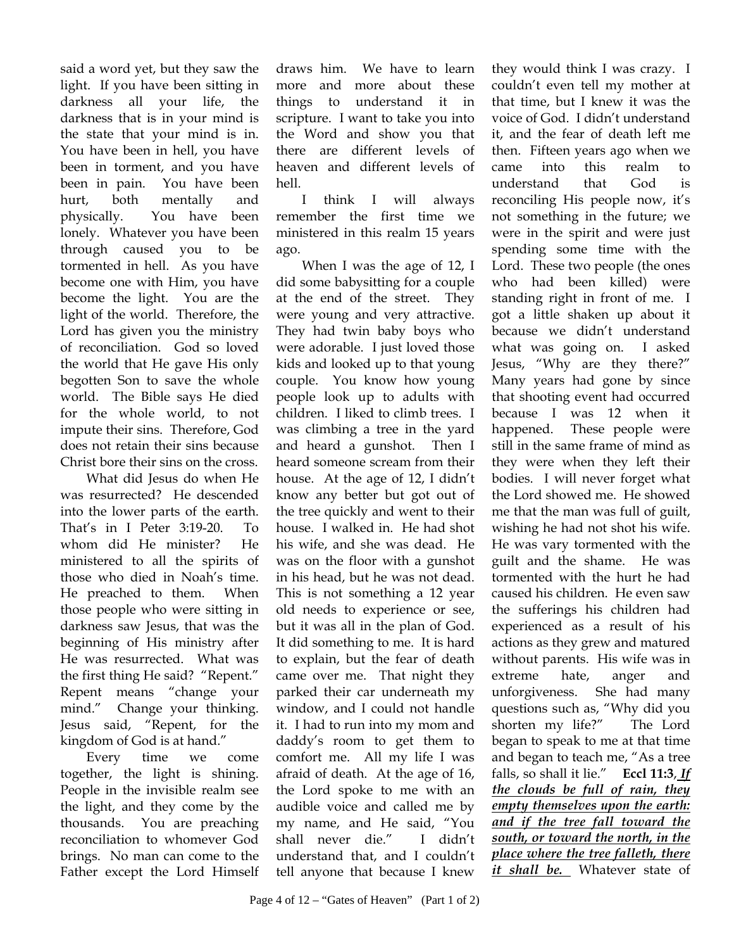said a word yet, but they saw the light. If you have been sitting in darkness all your life, the darkness that is in your mind is the state that your mind is in. You have been in hell, you have been in torment, and you have been in pain. You have been hurt, both mentally and physically. You have been lonely. Whatever you have been through caused you to be tormented in hell. As you have become one with Him, you have become the light. You are the light of the world. Therefore, the Lord has given you the ministry of reconciliation. God so loved the world that He gave His only begotten Son to save the whole world. The Bible says He died for the whole world, to not impute their sins. Therefore, God does not retain their sins because Christ bore their sins on the cross.

What did Jesus do when He was resurrected? He descended into the lower parts of the earth. That's in I Peter 3:19-20.To whom did He minister? He ministered to all the spirits of those who died in Noah's time. He preached to them. When those people who were sitting in darkness saw Jesus, that was the beginning of His ministry after He was resurrected. What was the first thing He said? "Repent." Repent means "change your mind." Change your thinking. Jesus said, "Repent, for the kingdom of God is at hand."

Every time we come together, the light is shining. People in the invisible realm see the light, and they come by the thousands. You are preaching reconciliation to whomever God brings. No man can come to the Father except the Lord Himself draws him. We have to learn more and more about these things to understand it in scripture. I want to take you into the Word and show you that there are different levels of heaven and different levels of hell.

I think I will always remember the first time we ministered in this realm 15 years ago.

When I was the age of 12, I did some babysitting for a couple at the end of the street. They were young and very attractive. They had twin baby boys who were adorable. I just loved those kids and looked up to that young couple. You know how young people look up to adults with children. I liked to climb trees. I was climbing a tree in the yard and heard a gunshot. Then I heard someone scream from their house. At the age of 12, I didn't know any better but got out of the tree quickly and went to their house. I walked in. He had shot his wife, and she was dead. He was on the floor with a gunshot in his head, but he was not dead. This is not something a 12 year old needs to experience or see, but it was all in the plan of God. It did something to me. It is hard to explain, but the fear of death came over me. That night they parked their car underneath my window, and I could not handle it. I had to run into my mom and daddy's room to get them to comfort me. All my life I was afraid of death. At the age of 16, the Lord spoke to me with an audible voice and called me by my name, and He said, "You shall never die." I didn't understand that, and I couldn't tell anyone that because I knew

they would think I was crazy. I couldn't even tell my mother at that time, but I knew it was the voice of God. I didn't understand it, and the fear of death left me then. Fifteen years ago when we came into this realm to understand that God is reconciling His people now, it's not something in the future; we were in the spirit and were just spending some time with the Lord. These two people (the ones who had been killed) were standing right in front of me. I got a little shaken up about it because we didn't understand what was going on. I asked Jesus, "Why are they there?" Many years had gone by since that shooting event had occurred because I was 12 when it happened. These people were still in the same frame of mind as they were when they left their bodies. I will never forget what the Lord showed me. He showed me that the man was full of guilt, wishing he had not shot his wife. He was vary tormented with the guilt and the shame. He was tormented with the hurt he had caused his children. He even saw the sufferings his children had experienced as a result of his actions as they grew and matured without parents. His wife was in extreme hate, anger and unforgiveness. She had many questions such as, "Why did you shorten my life?" The Lord began to speak to me at that time and began to teach me, "As a tree falls, so shall it lie." **Eccl 11:3**, *If the clouds be full of rain, they empty themselves upon the earth: and if the tree fall toward the south, or toward the north, in the place where the tree falleth, there it shall be.* Whatever state of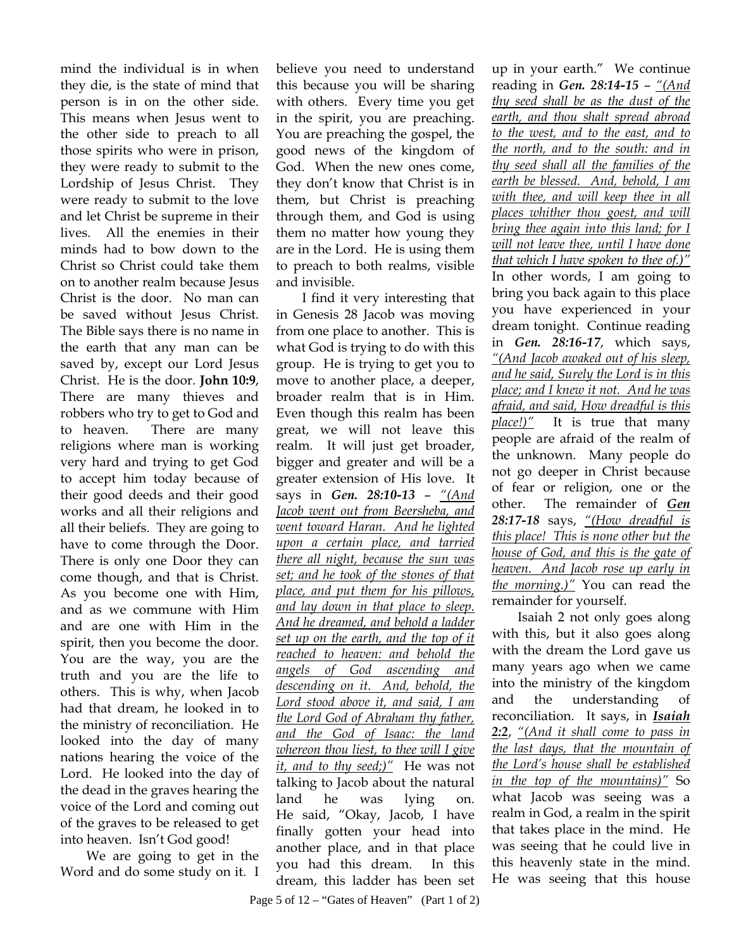mind the individual is in when they die, is the state of mind that person is in on the other side. This means when Jesus went to the other side to preach to all those spirits who were in prison, they were ready to submit to the Lordship of Jesus Christ. They were ready to submit to the love and let Christ be supreme in their lives. All the enemies in their minds had to bow down to the Christ so Christ could take them on to another realm because Jesus Christ is the door. No man can be saved without Jesus Christ. The Bible says there is no name in the earth that any man can be saved by, except our Lord Jesus Christ. He is the door. **John 10:9**, There are many thieves and robbers who try to get to God and to heaven. There are many religions where man is working very hard and trying to get God to accept him today because of their good deeds and their good works and all their religions and all their beliefs. They are going to have to come through the Door. There is only one Door they can come though, and that is Christ. As you become one with Him, and as we commune with Him and are one with Him in the spirit, then you become the door. You are the way, you are the truth and you are the life to others. This is why, when Jacob had that dream, he looked in to the ministry of reconciliation. He looked into the day of many nations hearing the voice of the Lord. He looked into the day of the dead in the graves hearing the voice of the Lord and coming out of the graves to be released to get into heaven. Isn't God good!

We are going to get in the Word and do some study on it. I believe you need to understand this because you will be sharing with others. Every time you get in the spirit, you are preaching. You are preaching the gospel, the good news of the kingdom of God. When the new ones come, they don't know that Christ is in them, but Christ is preaching through them, and God is using them no matter how young they are in the Lord. He is using them to preach to both realms, visible and invisible.

I find it very interesting that in Genesis 28 Jacob was moving from one place to another. This is what God is trying to do with this group. He is trying to get you to move to another place, a deeper, broader realm that is in Him. Even though this realm has been great, we will not leave this realm. It will just get broader, bigger and greater and will be a greater extension of His love. It says in *Gen. 28:10-13* – *"(And Jacob went out from Beersheba, and went toward Haran. And he lighted upon a certain place, and tarried there all night, because the sun was set; and he took of the stones of that place, and put them for his pillows, and lay down in that place to sleep. And he dreamed, and behold a ladder set up on the earth, and the top of it reached to heaven: and behold the angels of God ascending and descending on it. And, behold, the Lord stood above it, and said, I am the Lord God of Abraham thy father, and the God of Isaac: the land whereon thou liest, to thee will I give it, and to thy seed;)"* He was not talking to Jacob about the natural land he was lying on. He said, "Okay, Jacob, I have finally gotten your head into another place, and in that place you had this dream. In this dream, this ladder has been set

up in your earth." We continue reading in *Gen. 28:14-15* – *"(And thy seed shall be as the dust of the earth, and thou shalt spread abroad to the west, and to the east, and to the north, and to the south: and in thy seed shall all the families of the earth be blessed. And, behold, I am with thee, and will keep thee in all places whither thou goest, and will bring thee again into this land; for I will not leave thee, until I have done that which I have spoken to thee of.)"* In other words, I am going to bring you back again to this place you have experienced in your dream tonight. Continue reading in *Gen. 28:16-17*, which says, *"(And Jacob awaked out of his sleep, and he said, Surely the Lord is in this place; and I knew it not. And he was afraid, and said, How dreadful is this place!)"* It is true that many people are afraid of the realm of the unknown. Many people do not go deeper in Christ because of fear or religion, one or the other. The remainder of *Gen 28:17-18* says, *"(How dreadful is this place! This is none other but the house of God, and this is the gate of heaven. And Jacob rose up early in the morning.)"* You can read the remainder for yourself.

Isaiah 2 not only goes along with this, but it also goes along with the dream the Lord gave us many years ago when we came into the ministry of the kingdom and the understanding of reconciliation. It says, in *Isaiah 2:2*, *"(And it shall come to pass in the last days, that the mountain of the Lord's house shall be established in the top of the mountains)"* So what Jacob was seeing was a realm in God, a realm in the spirit that takes place in the mind. He was seeing that he could live in this heavenly state in the mind. He was seeing that this house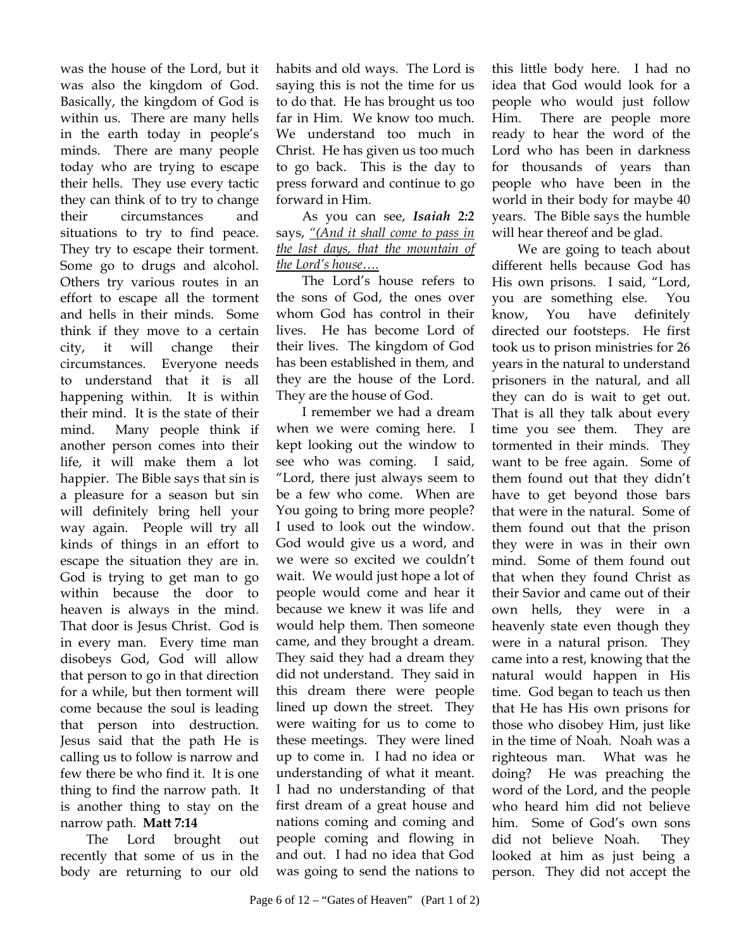was the house of the Lord, but it was also the kingdom of God. Basically, the kingdom of God is within us. There are many hells in the earth today in people's minds. There are many people today who are trying to escape their hells. They use every tactic they can think of to try to change their circumstances and situations to try to find peace. They try to escape their torment. Some go to drugs and alcohol. Others try various routes in an effort to escape all the torment and hells in their minds. Some think if they move to a certain city, it will change their circumstances. Everyone needs to understand that it is all happening within. It is within their mind. It is the state of their mind. Many people think if another person comes into their life, it will make them a lot happier. The Bible says that sin is a pleasure for a season but sin will definitely bring hell your way again. People will try all kinds of things in an effort to escape the situation they are in. God is trying to get man to go within because the door to heaven is always in the mind. That door is Jesus Christ. God is in every man. Every time man disobeys God, God will allow that person to go in that direction for a while, but then torment will come because the soul is leading that person into destruction. Jesus said that the path He is calling us to follow is narrow and few there be who find it. It is one thing to find the narrow path. It is another thing to stay on the narrow path. **Matt 7:14**

The Lord brought out recently that some of us in the body are returning to our old

habits and old ways. The Lord is saying this is not the time for us to do that. He has brought us too far in Him. We know too much. We understand too much in Christ. He has given us too much to go back. This is the day to press forward and continue to go forward in Him.

As you can see, *Isaiah 2:2* says, *"(And it shall come to pass in the last days, that the mountain of the Lord's house….*

The Lord's house refers to the sons of God, the ones over whom God has control in their lives. He has become Lord of their lives. The kingdom of God has been established in them, and they are the house of the Lord. They are the house of God.

I remember we had a dream when we were coming here. I kept looking out the window to see who was coming. I said, "Lord, there just always seem to be a few who come. When are You going to bring more people? I used to look out the window. God would give us a word, and we were so excited we couldn't wait. We would just hope a lot of people would come and hear it because we knew it was life and would help them. Then someone came, and they brought a dream. They said they had a dream they did not understand. They said in this dream there were people lined up down the street. They were waiting for us to come to these meetings. They were lined up to come in. I had no idea or understanding of what it meant. I had no understanding of that first dream of a great house and nations coming and coming and people coming and flowing in and out. I had no idea that God was going to send the nations to this little body here. I had no idea that God would look for a people who would just follow Him. There are people more ready to hear the word of the Lord who has been in darkness for thousands of years than people who have been in the world in their body for maybe 40 years. The Bible says the humble will hear thereof and be glad.

We are going to teach about different hells because God has His own prisons. I said, "Lord, you are something else. You know, You have definitely directed our footsteps. He first took us to prison ministries for 26 years in the natural to understand prisoners in the natural, and all they can do is wait to get out. That is all they talk about every time you see them. They are tormented in their minds. They want to be free again. Some of them found out that they didn't have to get beyond those bars that were in the natural. Some of them found out that the prison they were in was in their own mind. Some of them found out that when they found Christ as their Savior and came out of their own hells, they were in a heavenly state even though they were in a natural prison. They came into a rest, knowing that the natural would happen in His time. God began to teach us then that He has His own prisons for those who disobey Him, just like in the time of Noah. Noah was a righteous man. What was he doing? He was preaching the word of the Lord, and the people who heard him did not believe him. Some of God's own sons did not believe Noah. They looked at him as just being a person. They did not accept the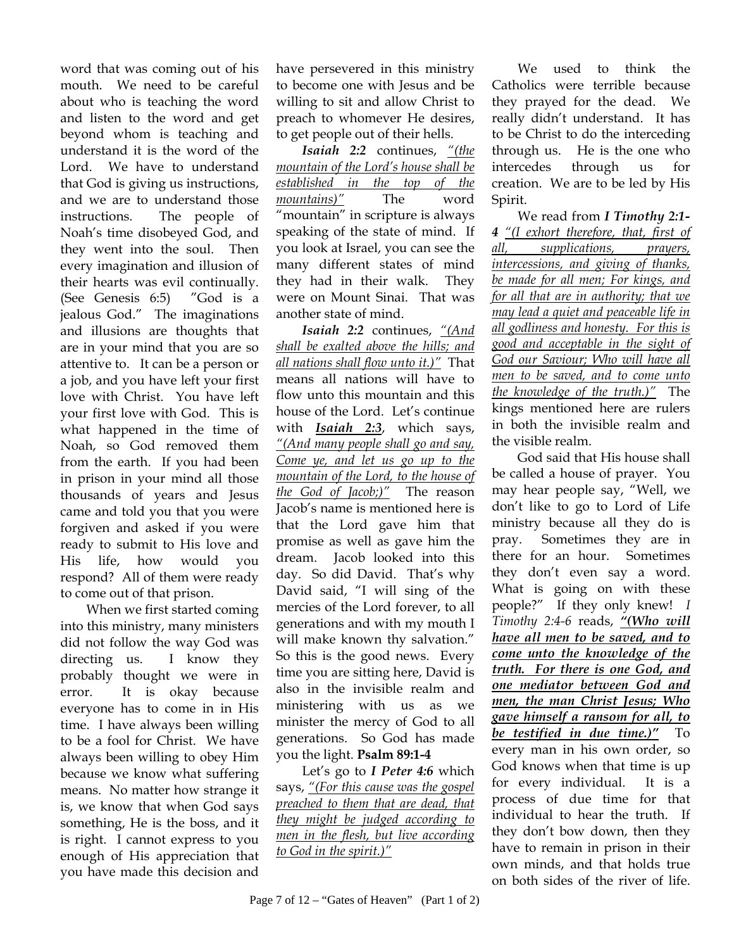word that was coming out of his mouth. We need to be careful about who is teaching the word and listen to the word and get beyond whom is teaching and understand it is the word of the Lord. We have to understand that God is giving us instructions, and we are to understand those instructions. The people of Noah's time disobeyed God, and they went into the soul. Then every imagination and illusion of their hearts was evil continually. (See Genesis 6:5) "God is a jealous God." The imaginations and illusions are thoughts that are in your mind that you are so attentive to. It can be a person or a job, and you have left your first love with Christ. You have left your first love with God. This is what happened in the time of Noah, so God removed them from the earth. If you had been in prison in your mind all those thousands of years and Jesus came and told you that you were forgiven and asked if you were ready to submit to His love and His life, how would you respond? All of them were ready to come out of that prison.

 When we first started coming into this ministry, many ministers did not follow the way God was directing us. I know they probably thought we were in error. It is okay because everyone has to come in in His time. I have always been willing to be a fool for Christ. We have always been willing to obey Him because we know what suffering means. No matter how strange it is, we know that when God says something, He is the boss, and it is right. I cannot express to you enough of His appreciation that you have made this decision and

have persevered in this ministry to become one with Jesus and be willing to sit and allow Christ to preach to whomever He desires, to get people out of their hells.

*Isaiah 2:2* continues, *"(the mountain of the Lord's house shall be established in the top of the mountains)"* The word "mountain" in scripture is always speaking of the state of mind. If you look at Israel, you can see the many different states of mind they had in their walk. They were on Mount Sinai. That was another state of mind.

*Isaiah 2:2* continues, *"(And shall be exalted above the hills; and all nations shall flow unto it.)"* That means all nations will have to flow unto this mountain and this house of the Lord. Let's continue with *Isaiah 2:3*, which says, *"(And many people shall go and say, Come ye, and let us go up to the mountain of the Lord, to the house of the God of Jacob;)"* The reason Jacob's name is mentioned here is that the Lord gave him that promise as well as gave him the dream. Jacob looked into this day. So did David. That's why David said, "I will sing of the mercies of the Lord forever, to all generations and with my mouth I will make known thy salvation." So this is the good news. Every time you are sitting here, David is also in the invisible realm and ministering with us as we minister the mercy of God to all generations. So God has made you the light. **Psalm 89:1-4**

Let's go to *I Peter 4:6* which says, *"(For this cause was the gospel preached to them that are dead, that they might be judged according to men in the flesh, but live according to God in the spirit.)"*

We used to think the Catholics were terrible because they prayed for the dead. We really didn't understand. It has to be Christ to do the interceding through us. He is the one who intercedes through us for creation. We are to be led by His Spirit.

We read from *I Timothy 2:1- 4 "(I exhort therefore, that, first of all, supplications, prayers, intercessions, and giving of thanks, be made for all men; For kings, and for all that are in authority; that we may lead a quiet and peaceable life in all godliness and honesty. For this is good and acceptable in the sight of God our Saviour; Who will have all men to be saved, and to come unto the knowledge of the truth.)"* The kings mentioned here are rulers in both the invisible realm and the visible realm.

God said that His house shall be called a house of prayer. You may hear people say, "Well, we don't like to go to Lord of Life ministry because all they do is pray. Sometimes they are in there for an hour. Sometimes they don't even say a word. What is going on with these people?" If they only knew! *I Timothy 2:4-6* reads, *"(Who will have all men to be saved, and to come unto the knowledge of the truth. For there is one God, and one mediator between God and men, the man Christ Jesus; Who gave himself a ransom for all, to be testified in due time.)"* To every man in his own order, so God knows when that time is up for every individual. It is a process of due time for that individual to hear the truth. If they don't bow down, then they have to remain in prison in their own minds, and that holds true on both sides of the river of life.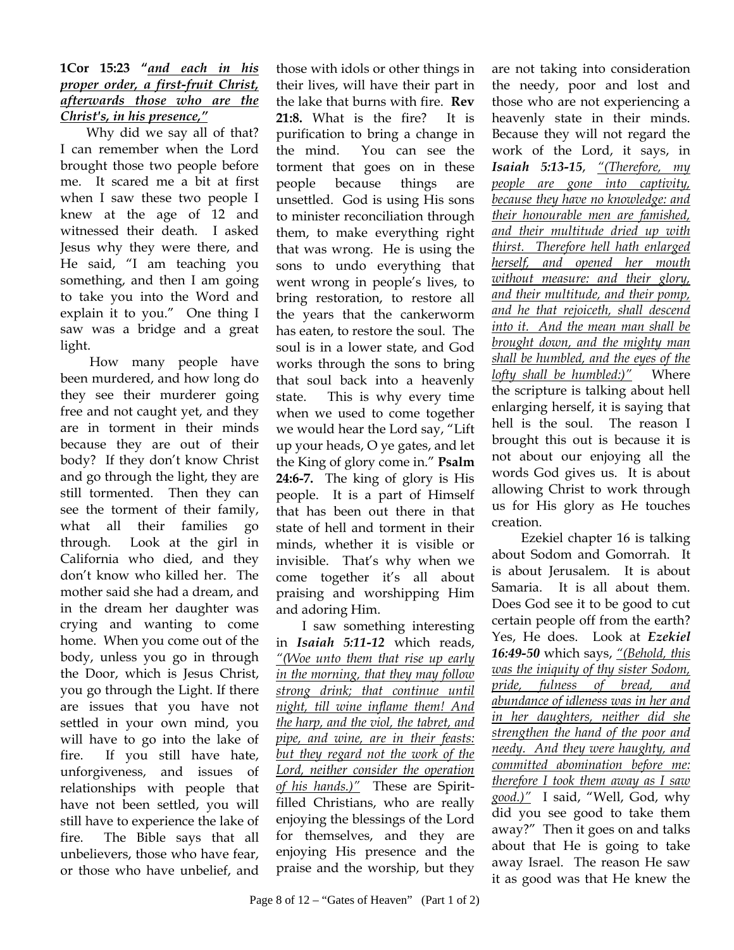## **1Cor 15:23 "***and each in his proper order, a first-fruit Christ, afterwards those who are the Christ's, in his presence,"*

Why did we say all of that? I can remember when the Lord brought those two people before me. It scared me a bit at first when I saw these two people I knew at the age of 12 and witnessed their death. I asked Jesus why they were there, and He said, "I am teaching you something, and then I am going to take you into the Word and explain it to you." One thing I saw was a bridge and a great light.

 How many people have been murdered, and how long do they see their murderer going free and not caught yet, and they are in torment in their minds because they are out of their body? If they don't know Christ and go through the light, they are still tormented. Then they can see the torment of their family, what all their families go through. Look at the girl in California who died, and they don't know who killed her. The mother said she had a dream, and in the dream her daughter was crying and wanting to come home. When you come out of the body, unless you go in through the Door, which is Jesus Christ, you go through the Light. If there are issues that you have not settled in your own mind, you will have to go into the lake of fire. If you still have hate, unforgiveness, and issues of relationships with people that have not been settled, you will still have to experience the lake of fire. The Bible says that all unbelievers, those who have fear, or those who have unbelief, and

those with idols or other things in their lives, will have their part in the lake that burns with fire. **Rev 21:8.** What is the fire? It is purification to bring a change in the mind. You can see the torment that goes on in these people because things are unsettled. God is using His sons to minister reconciliation through them, to make everything right that was wrong. He is using the sons to undo everything that went wrong in people's lives, to bring restoration, to restore all the years that the cankerworm has eaten, to restore the soul. The soul is in a lower state, and God works through the sons to bring that soul back into a heavenly state. This is why every time when we used to come together we would hear the Lord say, "Lift up your heads, O ye gates, and let the King of glory come in." **Psalm 24:6-7.** The king of glory is His people. It is a part of Himself that has been out there in that state of hell and torment in their minds, whether it is visible or invisible. That's why when we come together it's all about praising and worshipping Him and adoring Him.

I saw something interesting in *Isaiah 5:11-12* which reads, *"(Woe unto them that rise up early in the morning, that they may follow strong drink; that continue until night, till wine inflame them! And the harp, and the viol, the tabret, and pipe, and wine, are in their feasts: but they regard not the work of the Lord, neither consider the operation of his hands.)"* These are Spiritfilled Christians, who are really enjoying the blessings of the Lord for themselves, and they are enjoying His presence and the praise and the worship, but they

are not taking into consideration the needy, poor and lost and those who are not experiencing a heavenly state in their minds. Because they will not regard the work of the Lord, it says, in *Isaiah 5:13-15*, *"(Therefore, my people are gone into captivity, because they have no knowledge: and their honourable men are famished, and their multitude dried up with thirst. Therefore hell hath enlarged herself, and opened her mouth without measure: and their glory, and their multitude, and their pomp, and he that rejoiceth, shall descend into it. And the mean man shall be brought down, and the mighty man shall be humbled, and the eyes of the lofty shall be humbled:)"* Where the scripture is talking about hell enlarging herself, it is saying that hell is the soul. The reason I brought this out is because it is not about our enjoying all the words God gives us. It is about allowing Christ to work through us for His glory as He touches creation.

 Ezekiel chapter 16 is talking about Sodom and Gomorrah. It is about Jerusalem. It is about Samaria. It is all about them. Does God see it to be good to cut certain people off from the earth? Yes, He does. Look at *Ezekiel 16:49-50* which says, *"(Behold, this was the iniquity of thy sister Sodom, pride, fulness of bread, and abundance of idleness was in her and in her daughters, neither did she strengthen the hand of the poor and needy. And they were haughty, and committed abomination before me: therefore I took them away as I saw good.)"* I said, "Well, God, why did you see good to take them away?" Then it goes on and talks about that He is going to take away Israel. The reason He saw it as good was that He knew the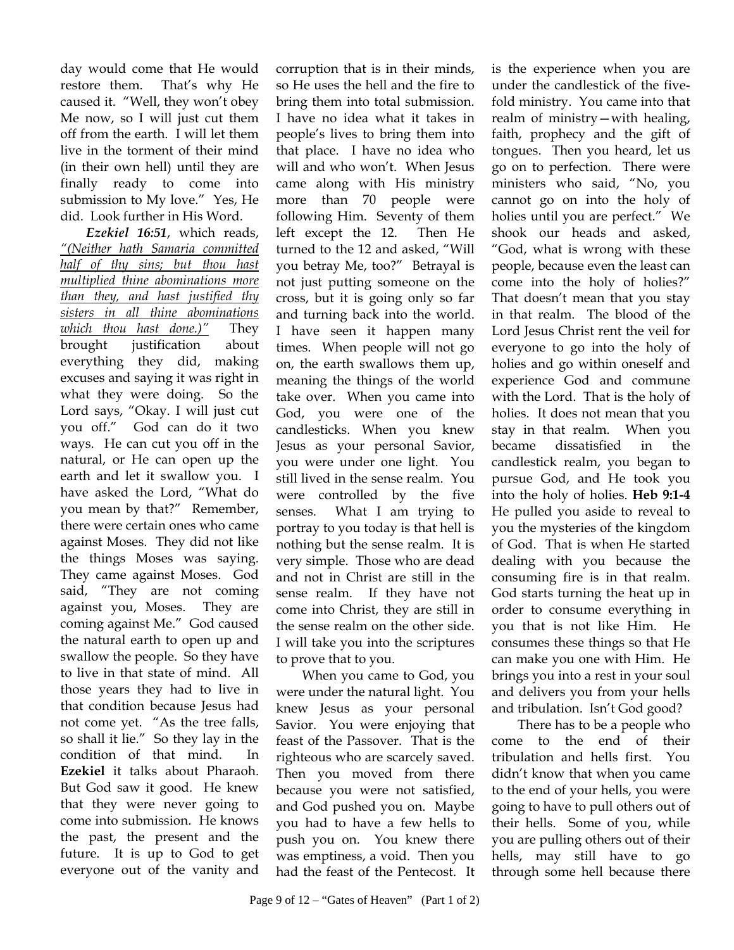day would come that He would restore them. That's why He caused it. "Well, they won't obey Me now, so I will just cut them off from the earth. I will let them live in the torment of their mind (in their own hell) until they are finally ready to come into submission to My love." Yes, He did. Look further in His Word.

*Ezekiel 16:51*, which reads, *"(Neither hath Samaria committed half of thy sins; but thou hast multiplied thine abominations more than they, and hast justified thy sisters in all thine abominations which thou hast done.)"* They brought justification about everything they did, making excuses and saying it was right in what they were doing. So the Lord says, "Okay. I will just cut you off." God can do it two ways. He can cut you off in the natural, or He can open up the earth and let it swallow you. I have asked the Lord, "What do you mean by that?" Remember, there were certain ones who came against Moses. They did not like the things Moses was saying. They came against Moses. God said, "They are not coming against you, Moses. They are coming against Me." God caused the natural earth to open up and swallow the people. So they have to live in that state of mind. All those years they had to live in that condition because Jesus had not come yet. "As the tree falls, so shall it lie." So they lay in the condition of that mind. In **Ezekiel** it talks about Pharaoh. But God saw it good. He knew that they were never going to come into submission. He knows the past, the present and the future. It is up to God to get everyone out of the vanity and

corruption that is in their minds, so He uses the hell and the fire to bring them into total submission. I have no idea what it takes in people's lives to bring them into that place. I have no idea who will and who won't. When Jesus came along with His ministry more than 70 people were following Him. Seventy of them left except the 12. Then He turned to the 12 and asked, "Will you betray Me, too?" Betrayal is not just putting someone on the cross, but it is going only so far and turning back into the world. I have seen it happen many times. When people will not go on, the earth swallows them up, meaning the things of the world take over. When you came into God, you were one of the candlesticks. When you knew Jesus as your personal Savior, you were under one light. You still lived in the sense realm. You were controlled by the five senses. What I am trying to portray to you today is that hell is nothing but the sense realm. It is very simple. Those who are dead and not in Christ are still in the sense realm. If they have not come into Christ, they are still in the sense realm on the other side. I will take you into the scriptures to prove that to you.

When you came to God, you were under the natural light. You knew Jesus as your personal Savior. You were enjoying that feast of the Passover. That is the righteous who are scarcely saved. Then you moved from there because you were not satisfied, and God pushed you on. Maybe you had to have a few hells to push you on. You knew there was emptiness, a void. Then you had the feast of the Pentecost. It is the experience when you are under the candlestick of the fivefold ministry. You came into that realm of ministry—with healing, faith, prophecy and the gift of tongues. Then you heard, let us go on to perfection. There were ministers who said, "No, you cannot go on into the holy of holies until you are perfect." We shook our heads and asked, "God, what is wrong with these people, because even the least can come into the holy of holies?" That doesn't mean that you stay in that realm. The blood of the Lord Jesus Christ rent the veil for everyone to go into the holy of holies and go within oneself and experience God and commune with the Lord. That is the holy of holies. It does not mean that you stay in that realm. When you became dissatisfied in the candlestick realm, you began to pursue God, and He took you into the holy of holies. **Heb 9:1-4** He pulled you aside to reveal to you the mysteries of the kingdom of God. That is when He started dealing with you because the consuming fire is in that realm. God starts turning the heat up in order to consume everything in you that is not like Him. He consumes these things so that He can make you one with Him. He brings you into a rest in your soul and delivers you from your hells and tribulation. Isn't God good?

There has to be a people who come to the end of their tribulation and hells first. You didn't know that when you came to the end of your hells, you were going to have to pull others out of their hells. Some of you, while you are pulling others out of their hells, may still have to go through some hell because there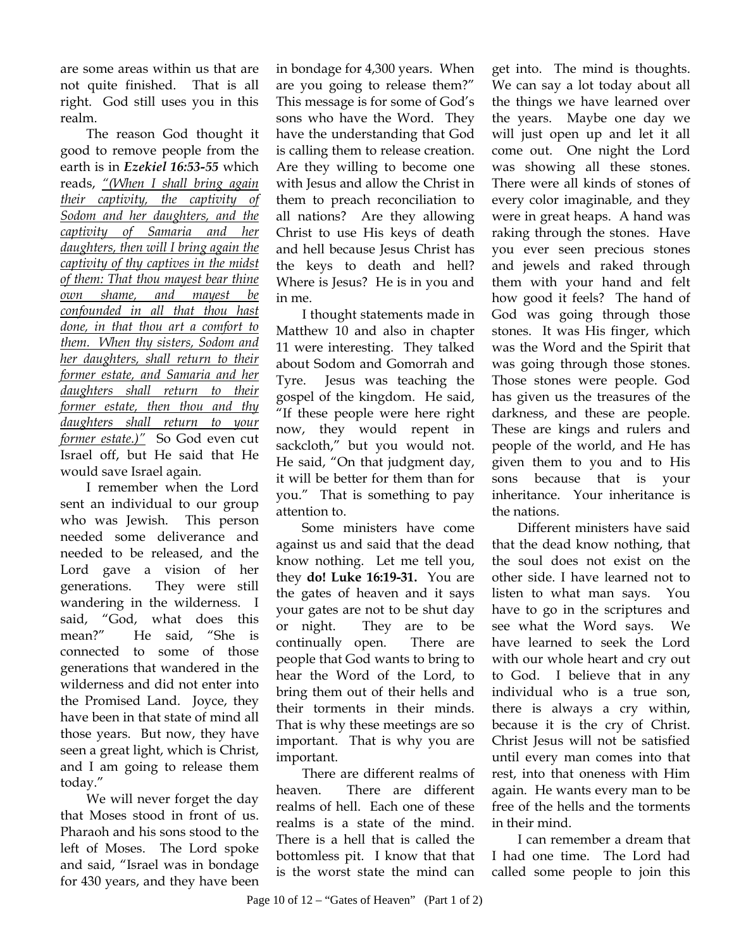are some areas within us that are not quite finished. That is all right. God still uses you in this realm.

The reason God thought it good to remove people from the earth is in *Ezekiel 16:53-55* which reads, *"(When I shall bring again their captivity, the captivity of Sodom and her daughters, and the captivity of Samaria and her daughters, then will I bring again the captivity of thy captives in the midst of them: That thou mayest bear thine own shame, and mayest be confounded in all that thou hast done, in that thou art a comfort to them. When thy sisters, Sodom and her daughters, shall return to their former estate, and Samaria and her daughters shall return to their former estate, then thou and thy daughters shall return to your former estate.)"* So God even cut Israel off, but He said that He would save Israel again.

I remember when the Lord sent an individual to our group who was Jewish. This person needed some deliverance and needed to be released, and the Lord gave a vision of her generations. They were still wandering in the wilderness. I said, "God, what does this mean?" He said, "She is connected to some of those generations that wandered in the wilderness and did not enter into the Promised Land. Joyce, they have been in that state of mind all those years. But now, they have seen a great light, which is Christ, and I am going to release them today."

We will never forget the day that Moses stood in front of us. Pharaoh and his sons stood to the left of Moses. The Lord spoke and said, "Israel was in bondage for 430 years, and they have been in bondage for 4,300 years. When are you going to release them?" This message is for some of God's sons who have the Word. They have the understanding that God is calling them to release creation. Are they willing to become one with Jesus and allow the Christ in them to preach reconciliation to all nations? Are they allowing Christ to use His keys of death and hell because Jesus Christ has the keys to death and hell? Where is Jesus? He is in you and in me.

I thought statements made in Matthew 10 and also in chapter 11 were interesting. They talked about Sodom and Gomorrah and Tyre. Jesus was teaching the gospel of the kingdom. He said, "If these people were here right now, they would repent in sackcloth," but you would not. He said, "On that judgment day, it will be better for them than for you." That is something to pay attention to.

Some ministers have come against us and said that the dead know nothing. Let me tell you, they **do! Luke 16:19-31.** You are the gates of heaven and it says your gates are not to be shut day or night. They are to be continually open. There are people that God wants to bring to hear the Word of the Lord, to bring them out of their hells and their torments in their minds. That is why these meetings are so important. That is why you are important.

There are different realms of heaven. There are different realms of hell. Each one of these realms is a state of the mind. There is a hell that is called the bottomless pit. I know that that is the worst state the mind can get into. The mind is thoughts. We can say a lot today about all the things we have learned over the years. Maybe one day we will just open up and let it all come out. One night the Lord was showing all these stones. There were all kinds of stones of every color imaginable, and they were in great heaps. A hand was raking through the stones. Have you ever seen precious stones and jewels and raked through them with your hand and felt how good it feels? The hand of God was going through those stones. It was His finger, which was the Word and the Spirit that was going through those stones. Those stones were people. God has given us the treasures of the darkness, and these are people. These are kings and rulers and people of the world, and He has given them to you and to His sons because that is your inheritance. Your inheritance is the nations.

Different ministers have said that the dead know nothing, that the soul does not exist on the other side. I have learned not to listen to what man says. You have to go in the scriptures and see what the Word says. We have learned to seek the Lord with our whole heart and cry out to God. I believe that in any individual who is a true son, there is always a cry within, because it is the cry of Christ. Christ Jesus will not be satisfied until every man comes into that rest, into that oneness with Him again. He wants every man to be free of the hells and the torments in their mind.

I can remember a dream that I had one time. The Lord had called some people to join this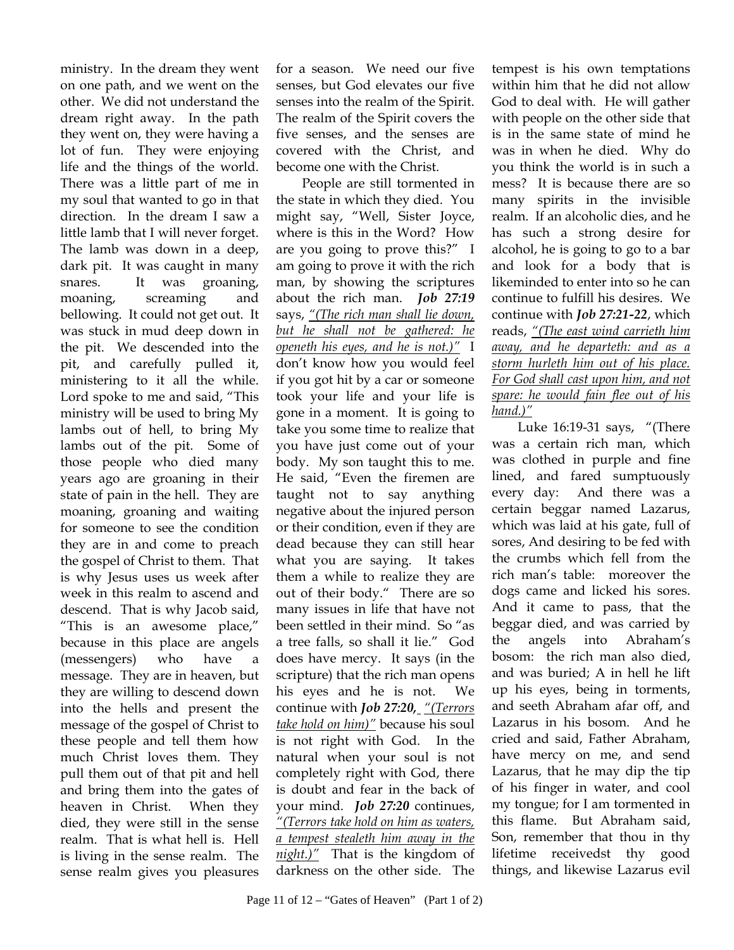ministry. In the dream they went on one path, and we went on the other. We did not understand the dream right away. In the path they went on, they were having a lot of fun. They were enjoying life and the things of the world. There was a little part of me in my soul that wanted to go in that direction. In the dream I saw a little lamb that I will never forget. The lamb was down in a deep, dark pit. It was caught in many snares. It was groaning, moaning, screaming and bellowing. It could not get out. It was stuck in mud deep down in the pit. We descended into the pit, and carefully pulled it, ministering to it all the while. Lord spoke to me and said, "This ministry will be used to bring My lambs out of hell, to bring My lambs out of the pit. Some of those people who died many years ago are groaning in their state of pain in the hell. They are moaning, groaning and waiting for someone to see the condition they are in and come to preach the gospel of Christ to them. That is why Jesus uses us week after week in this realm to ascend and descend. That is why Jacob said, "This is an awesome place," because in this place are angels (messengers) who have message. They are in heaven, but they are willing to descend down into the hells and present the message of the gospel of Christ to these people and tell them how much Christ loves them. They pull them out of that pit and hell and bring them into the gates of heaven in Christ. When they died, they were still in the sense realm. That is what hell is. Hell is living in the sense realm. The sense realm gives you pleasures

for a season. We need our five senses, but God elevates our five senses into the realm of the Spirit. The realm of the Spirit covers the five senses, and the senses are covered with the Christ, and become one with the Christ.

People are still tormented in the state in which they died. You might say, "Well, Sister Joyce, where is this in the Word? How are you going to prove this?" I am going to prove it with the rich man, by showing the scriptures about the rich man. *Job 27:19* says, *"(The rich man shall lie down, but he shall not be gathered: he openeth his eyes, and he is not.)"* I don't know how you would feel if you got hit by a car or someone took your life and your life is gone in a moment. It is going to take you some time to realize that you have just come out of your body. My son taught this to me. He said, "Even the firemen are taught not to say anything negative about the injured person or their condition, even if they are dead because they can still hear what you are saying. It takes them a while to realize they are out of their body." There are so many issues in life that have not been settled in their mind. So "as a tree falls, so shall it lie." God does have mercy. It says (in the scripture) that the rich man opens his eyes and he is not. We continue with *Job 27:20, "(Terrors take hold on him)"* because his soul is not right with God. In the natural when your soul is not completely right with God, there is doubt and fear in the back of your mind. *Job 27:20* continues, *"(Terrors take hold on him as waters, a tempest stealeth him away in the night.)"* That is the kingdom of darkness on the other side. The

tempest is his own temptations within him that he did not allow God to deal with. He will gather with people on the other side that is in the same state of mind he was in when he died. Why do you think the world is in such a mess? It is because there are so many spirits in the invisible realm. If an alcoholic dies, and he has such a strong desire for alcohol, he is going to go to a bar and look for a body that is likeminded to enter into so he can continue to fulfill his desires. We continue with *Job 27:21-22*, which reads, *"(The east wind carrieth him away, and he departeth: and as a storm hurleth him out of his place. For God shall cast upon him, and not spare: he would fain flee out of his hand.)"*

Luke 16:19-31 says, "(There was a certain rich man, which was clothed in purple and fine lined, and fared sumptuously every day: And there was a certain beggar named Lazarus, which was laid at his gate, full of sores, And desiring to be fed with the crumbs which fell from the rich man's table: moreover the dogs came and licked his sores. And it came to pass, that the beggar died, and was carried by the angels into Abraham's bosom: the rich man also died, and was buried; A in hell he lift up his eyes, being in torments, and seeth Abraham afar off, and Lazarus in his bosom. And he cried and said, Father Abraham, have mercy on me, and send Lazarus, that he may dip the tip of his finger in water, and cool my tongue; for I am tormented in this flame. But Abraham said, Son, remember that thou in thy lifetime receivedst thy good things, and likewise Lazarus evil